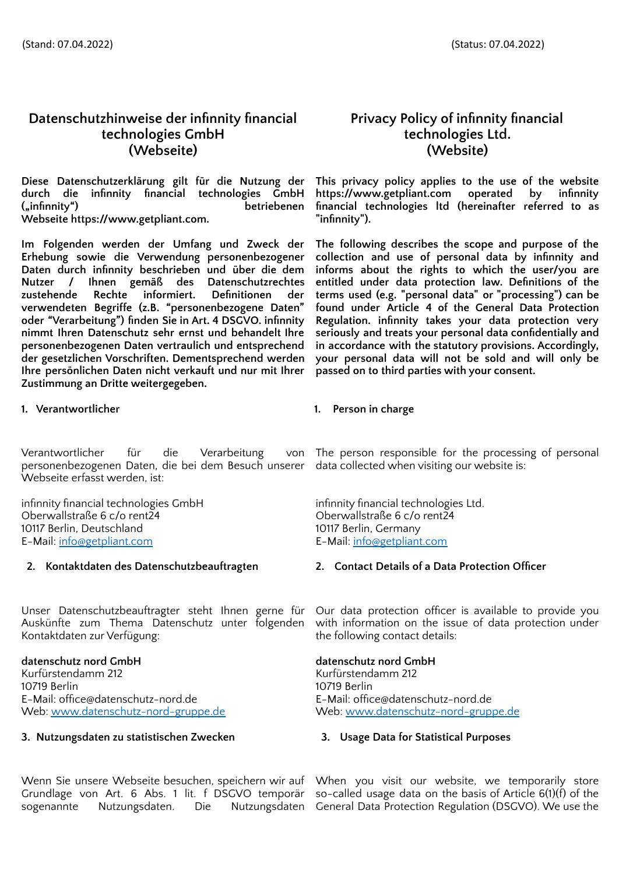# **Datenschutzhinweise der infinnity financial technologies GmbH (Webseite) (Website)**

**Diese Datenschutzerklärung gilt für die Nutzung der durch die infinnity financial technologies GmbH ("infinnity") betriebenen Webseite [https://www.getpliant.com.](https://www.getpliant.com/)**

**Im Folgenden werden der Umfang und Zweck der Erhebung sowie die Verwendung personenbezogener Daten durch infinnity beschrieben und über die dem Nutzer / Ihnen gemäß des Datenschutzrechtes zustehende Rechte informiert. Definitionen der verwendeten Begriffe (z.B. "personenbezogene Daten" oder "Verarbeitung") finden Sie in Art. 4 DSGVO. infinnity nimmt Ihren Datenschutz sehr ernst und behandelt Ihre personenbezogenen Daten vertraulich und entsprechend der gesetzlichen Vorschriften. Dementsprechend werden Ihre persönlichen Daten nicht verkauft und nur mit Ihrer Zustimmung an Dritte weitergegeben.**

**1. Verantwortlicher 1. Person in charge**

Verantwortlicher für die Verarbeitung von personenbezogenen Daten, die bei dem Besuch unserer Webseite erfasst werden, ist:

infinnity financial technologies GmbH infinnity financial technologies Ltd. Oberwallstraße 6 c/o rent24 Oberwallstraße 6 c/o rent24 Oberwallstraße 6 c/o rent24 Oberwallstraße 6 c/o rent24 10117 Berlin, Deutschland<br>E-Mail: info@getpliant.com

Unser Datenschutzbeauftragter steht Ihnen gerne für Auskünfte zum Thema Datenschutz unter folgenden Kontaktdaten zur Verfügung:

# **datenschutz nord GmbH datenschutz nord GmbH**

Kurfürstendamm 212 Kurfürstendamm 212 10719 Berlin<br>
E-Mail: office@datenschutz-nord.de<br>
E-Mail: office@datenschutz-nord.de<br>
10719 Berlin Web: [www.datenschutz-nord-gruppe.de](http://www.datenschutz-nord-gruppe.de)

# **3. Nutzungsdaten zu statistischen Zwecken 3. Usage Data for Statistical Purposes**

Wenn Sie unsere Webseite besuchen, speichern wir auf When you visit our website, we temporarily store Grundlage von Art. 6 Abs. 1 lit. f DSGVO temporär so-called usage data on the basis of Article 6(1)(f) of the sogenannte Nutzungsdaten. Die

# **Privacy Policy of infinnity financial technologies Ltd.**

**This privacy policy applies to the use of the website [https://www.getpliant.com](https://www.getpliant.com/) operated by infinnity financial technologies ltd (hereinafter referred to as "infinnity").**

**The following describes the scope and purpose of the collection and use of personal data by infinnity and informs about the rights to which the user/you are entitled under data protection law. Definitions of the terms used (e.g. "personal data" or "processing") can be found under Article 4 of the General Data Protection Regulation. infinnity takes your data protection very seriously and treats your personal data confidentially and in accordance with the statutory provisions. Accordingly, your personal data will not be sold and will only be passed on to third parties with your consent.**

The person responsible for the processing of personal data collected when visiting our website is:

E-Mail: [info@getpliant.com](mailto:info@getpliant.com) E-Mail: [info@getpliant.com](mailto:info@getpliant.com)

# **2. Kontaktdaten des Datenschutzbeauftragten 2. Contact Details of a Data Protection Officer**

Our data protection officer is available to provide you with information on the issue of data protection under the following contact details:

E-Mail: office@datenschutz-nord.de<br>Web: www.datenschutz-nord-gruppe.de

Nutzungsdaten General Data Protection Regulation (DSGVO). We use the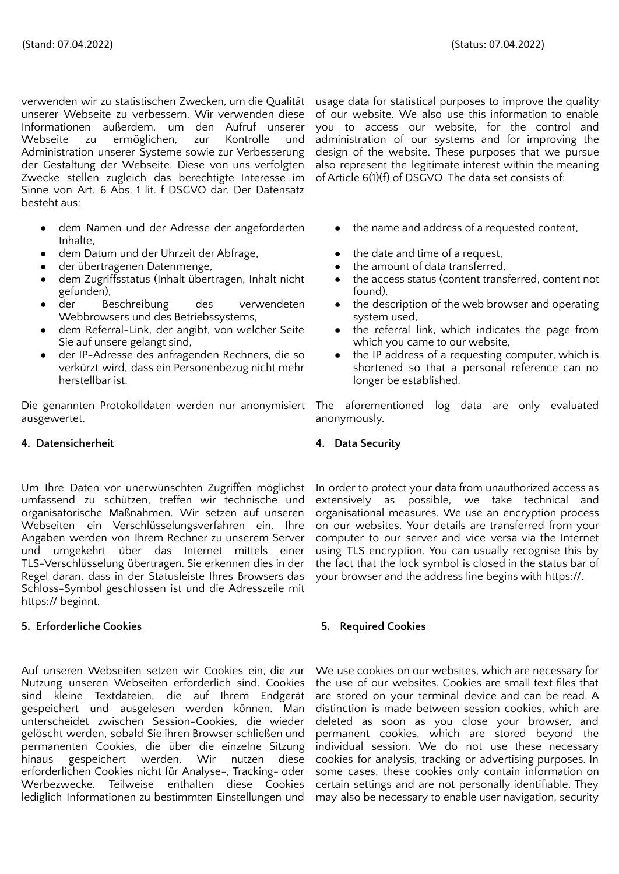verwenden wir zu statistischen Zwecken, um die Qualität unserer Webseite zu verbessern. Wir verwenden diese Informationen außerdem, um den Aufruf unserer Webseite zu ermöglichen, zur Kontrolle und Administration unserer Systeme sowie zur Verbesserung der Gestaltung der Webseite. Diese von uns verfolgten Zwecke stellen zugleich das berechtigte Interesse im Sinne von Art. 6 Abs. 1 lit. f DSGVO dar. Der Datensatz besteht aus:

- dem Namen und der Adresse der angeforderten Inhalte,
- dem Datum und der Uhrzeit der Abfrage, **•** the date and time of a request,
- 
- dem Zugriffsstatus (Inhalt übertragen, Inhalt nicht gefunden),
- der Beschreibung des verwendeten Webbrowsers und des Betriebssystems,
- dem Referral-Link, der angibt, von welcher Seite Sie auf unsere gelangt sind,
- der IP-Adresse des anfragenden Rechners, die so verkürzt wird, dass ein Personenbezug nicht mehr herstellbar ist.

Die genannten Protokolldaten werden nur anonymisiert ausgewertet.

# **4. Datensicherheit 4. Data Security**

Um Ihre Daten vor unerwünschten Zugriffen möglichst umfassend zu schützen, treffen wir technische und organisatorische Maßnahmen. Wir setzen auf unseren Webseiten ein Verschlüsselungsverfahren ein. Ihre Angaben werden von Ihrem Rechner zu unserem Server und umgekehrt über das Internet mittels einer TLS-Verschlüsselung übertragen. Sie erkennen dies in der Regel daran, dass in der Statusleiste Ihres Browsers das Schloss-Symbol geschlossen ist und die Adresszeile mit https:// beginnt.

# **5. Erforderliche Cookies 5. Required Cookies**

Auf unseren Webseiten setzen wir Cookies ein, die zur Nutzung unseren Webseiten erforderlich sind. Cookies sind kleine Textdateien, die auf Ihrem Endgerät gespeichert und ausgelesen werden können. Man unterscheidet zwischen Session-Cookies, die wieder gelöscht werden, sobald Sie ihren Browser schließen und permanenten Cookies, die über die einzelne Sitzung hinaus gespeichert werden. Wir nutzen diese erforderlichen Cookies nicht für Analyse-, Tracking- oder Werbezwecke. Teilweise enthalten diese Cookies lediglich Informationen zu bestimmten Einstellungen und

usage data for statistical purposes to improve the quality of our website. We also use this information to enable you to access our website, for the control and administration of our systems and for improving the design of the website. These purposes that we pursue also represent the legitimate interest within the meaning of Article 6(1)(f) of DSGVO. The data set consists of:

- the name and address of a requested content,
- 
- der übertragenen Datenmenge, and the amount of data transferred,
	- the access status (content transferred, content not found),
	- the description of the web browser and operating system used,
	- the referral link, which indicates the page from which you came to our website,
	- the IP address of a requesting computer, which is shortened so that a personal reference can no longer be established.

The aforementioned log data are only evaluated anonymously.

In order to protect your data from unauthorized access as extensively as possible, we take technical and organisational measures. We use an encryption process on our websites. Your details are transferred from your computer to our server and vice versa via the Internet using TLS encryption. You can usually recognise this by the fact that the lock symbol is closed in the status bar of your browser and the address line begins with https://.

We use cookies on our websites, which are necessary for the use of our websites. Cookies are small text files that are stored on your terminal device and can be read. A distinction is made between session cookies, which are deleted as soon as you close your browser, and permanent cookies, which are stored beyond the individual session. We do not use these necessary cookies for analysis, tracking or advertising purposes. In some cases, these cookies only contain information on certain settings and are not personally identifiable. They may also be necessary to enable user navigation, security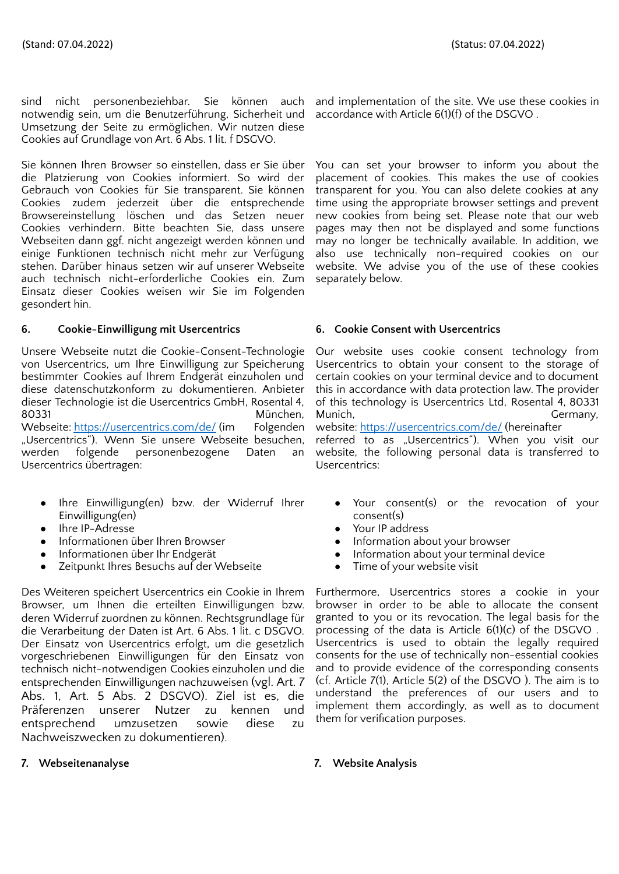sind nicht personenbeziehbar. Sie können auch notwendig sein, um die Benutzerführung, Sicherheit und Umsetzung der Seite zu ermöglichen. Wir nutzen diese Cookies auf Grundlage von Art. 6 Abs. 1 lit. f DSGVO.

Sie können Ihren Browser so einstellen, dass er Sie über die Platzierung von Cookies informiert. So wird der Gebrauch von Cookies für Sie transparent. Sie können Cookies zudem jederzeit über die entsprechende Browsereinstellung löschen und das Setzen neuer Cookies verhindern. Bitte beachten Sie, dass unsere Webseiten dann ggf. nicht angezeigt werden können und einige Funktionen technisch nicht mehr zur Verfügung stehen. Darüber hinaus setzen wir auf unserer Webseite auch technisch nicht-erforderliche Cookies ein. Zum Einsatz dieser Cookies weisen wir Sie im Folgenden gesondert hin.

# **6. Cookie-Einwilligung mit Usercentrics 6. Cookie Consent with Usercentrics**

Unsere Webseite nutzt die Cookie-Consent-Technologie von Usercentrics, um Ihre Einwilligung zur Speicherung bestimmter Cookies auf Ihrem Endgerät einzuholen und diese datenschutzkonform zu dokumentieren. Anbieter dieser Technologie ist die Usercentrics GmbH, Rosental 4, 80331 München, Webseite: <https://usercentrics.com/de/> (im Folgenden "Usercentrics"). Wenn Sie unsere Webseite besuchen, werden folgende personenbezogene Daten an

- Ihre Einwilligung(en) bzw. der Widerruf Ihrer Einwilligung(en)
- 

Usercentrics übertragen:

- lhre IP-Adresse<br>Informationen über Ihren Browser<br> **•** Informationen über Ihren Browser<br>
 Information abc
- 
- Zeitpunkt Ihres Besuchs auf der Webseite **•** Time of your website visit

Des Weiteren speichert Usercentrics ein Cookie in Ihrem Browser, um Ihnen die erteilten Einwilligungen bzw. deren Widerruf zuordnen zu können. Rechtsgrundlage für die Verarbeitung der Daten ist Art. 6 Abs. 1 lit. c DSGVO. Der Einsatz von Usercentrics erfolgt, um die gesetzlich vorgeschriebenen Einwilligungen für den Einsatz von technisch nicht-notwendigen Cookies einzuholen und die entsprechenden Einwilligungen nachzuweisen (vgl. Art. 7 Abs. 1, Art. 5 Abs. 2 DSGVO). Ziel ist es, die Präferenzen unserer Nutzer zu kennen und entsprechend umzusetzen sowie diese zu Nachweiszwecken zu dokumentieren).

# **7. Webseitenanalyse 7. Website Analysis**

and implementation of the site. We use these cookies in accordance with Article 6(1)(f) of the DSGVO .

You can set your browser to inform you about the placement of cookies. This makes the use of cookies transparent for you. You can also delete cookies at any time using the appropriate browser settings and prevent new cookies from being set. Please note that our web pages may then not be displayed and some functions may no longer be technically available. In addition, we also use technically non-required cookies on our website. We advise you of the use of these cookies separately below.

Our website uses cookie consent technology from Usercentrics to obtain your consent to the storage of certain cookies on your terminal device and to document this in accordance with data protection law. The provider of this technology is Usercentrics Ltd, Rosental 4, 80331 Munich, Germany, Germany, Germany, Germany, Germany, Germany, Germany, Germany, Germany, Germany, G

website: <https://usercentrics.com/de/> (hereinafter referred to as "Usercentrics"). When you visit our website, the following personal data is transferred to Usercentrics:

- Your consent(s) or the revocation of your consent(s)
- 
- Information about your browser
- Informationen über Ihr Endgerät **about 1988** bei 1989 bei Information about your terminal device
	-

Furthermore, Usercentrics stores a cookie in your browser in order to be able to allocate the consent granted to you or its revocation. The legal basis for the processing of the data is Article 6(1)(c) of the DSGVO . Usercentrics is used to obtain the legally required consents for the use of technically non-essential cookies and to provide evidence of the corresponding consents (cf. Article 7(1), Article 5(2) of the DSGVO ). The aim is to understand the preferences of our users and to implement them accordingly, as well as to document them for verification purposes.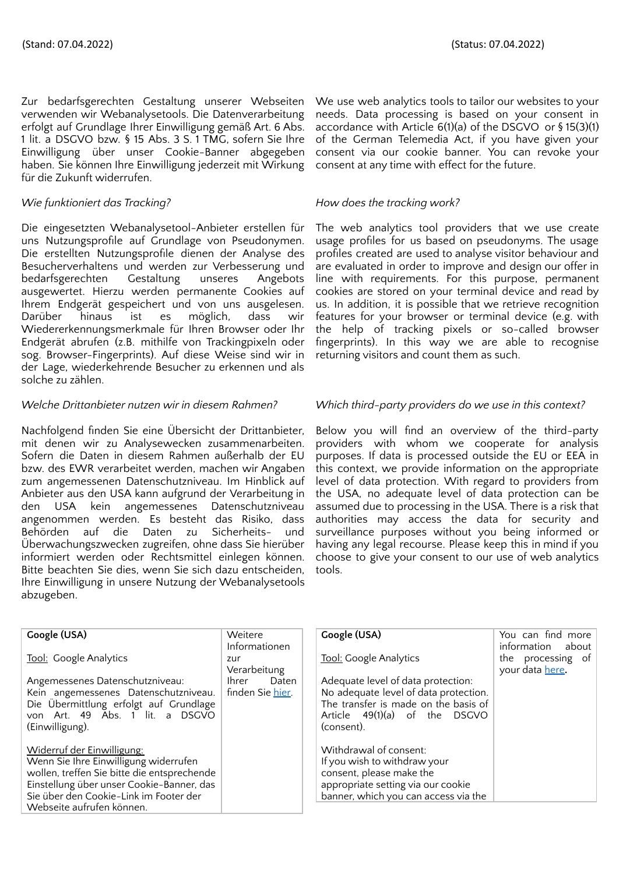Zur bedarfsgerechten Gestaltung unserer Webseiten verwenden wir Webanalysetools. Die Datenverarbeitung erfolgt auf Grundlage Ihrer Einwilligung gemäß Art. 6 Abs. 1 lit. a DSGVO bzw. § 15 Abs. 3 S. 1 TMG, sofern Sie Ihre Einwilligung über unser Cookie-Banner abgegeben haben. Sie können Ihre Einwilligung jederzeit mit Wirkung für die Zukunft widerrufen.

# *Wie funktioniert das Tracking? How does the tracking work?*

Die eingesetzten Webanalysetool-Anbieter erstellen für uns Nutzungsprofile auf Grundlage von Pseudonymen. Die erstellten Nutzungsprofile dienen der Analyse des Besucherverhaltens und werden zur Verbesserung und bedarfsgerechten Gestaltung unseres Angebots ausgewertet. Hierzu werden permanente Cookies auf Ihrem Endgerät gespeichert und von uns ausgelesen. Darüber hinaus ist es möglich, dass wir Wiedererkennungsmerkmale für Ihren Browser oder Ihr Endgerät abrufen (z.B. mithilfe von Trackingpixeln oder sog. Browser-Fingerprints). Auf diese Weise sind wir in der Lage, wiederkehrende Besucher zu erkennen und als solche zu zählen.

Nachfolgend finden Sie eine Übersicht der Drittanbieter, mit denen wir zu Analysewecken zusammenarbeiten. Sofern die Daten in diesem Rahmen außerhalb der EU bzw. des EWR verarbeitet werden, machen wir Angaben zum angemessenen Datenschutzniveau. Im Hinblick auf Anbieter aus den USA kann aufgrund der Verarbeitung in den USA kein angemessenes Datenschutzniveau angenommen werden. Es besteht das Risiko, dass Behörden auf die Daten zu Sicherheits- und Überwachungszwecken zugreifen, ohne dass Sie hierüber informiert werden oder Rechtsmittel einlegen können. Bitte beachten Sie dies, wenn Sie sich dazu entscheiden, Ihre Einwilligung in unsere Nutzung der Webanalysetools abzugeben.

We use web analytics tools to tailor our websites to your needs. Data processing is based on your consent in accordance with Article 6(1)(a) of the DSGVO or § 15(3)(1) of the German Telemedia Act, if you have given your consent via our cookie banner. You can revoke your consent at any time with effect for the future.

The web analytics tool providers that we use create usage profiles for us based on pseudonyms. The usage profiles created are used to analyse visitor behaviour and are evaluated in order to improve and design our offer in line with requirements. For this purpose, permanent cookies are stored on your terminal device and read by us. In addition, it is possible that we retrieve recognition features for your browser or terminal device (e.g. with the help of tracking pixels or so-called browser fingerprints). In this way we are able to recognise returning visitors and count them as such.

# *Welche Drittanbieter nutzen wir in diesem Rahmen? Which third-party providers do we use in this context?*

Below you will find an overview of the third-party providers with whom we cooperate for analysis purposes. If data is processed outside the EU or EEA in this context, we provide information on the appropriate level of data protection. With regard to providers from the USA, no adequate level of data protection can be assumed due to processing in the USA. There is a risk that authorities may access the data for security and surveillance purposes without you being informed or having any legal recourse. Please keep this in mind if you choose to give your consent to our use of web analytics tools.

| Google (USA)                                                                                                                                                                                                                           | Weitere                                    | Google (USA)                                                                                                                                                         | You can find more                                         |
|----------------------------------------------------------------------------------------------------------------------------------------------------------------------------------------------------------------------------------------|--------------------------------------------|----------------------------------------------------------------------------------------------------------------------------------------------------------------------|-----------------------------------------------------------|
| Tool: Google Analytics                                                                                                                                                                                                                 | Informationen<br>zur<br>Verarbeitung       | Tool: Google Analytics                                                                                                                                               | information about<br>the processing of<br>your data here. |
| Angemessenes Datenschutzniveau:<br>Kein angemessenes Datenschutzniveau.<br>Die Übermittlung erfolgt auf Grundlage<br>von Art. 49 Abs. 1 lit. a DSGVO<br>(Einwilligung).                                                                | Ihrer<br>Daten<br>finden Sie <u>hier</u> . | Adequate level of data protection:<br>No adequate level of data protection.<br>The transfer is made on the basis of<br>Article $49(1)(a)$ of the DSGVO<br>(consent). |                                                           |
| Widerruf der Einwilligung:<br>Wenn Sie Ihre Einwilligung widerrufen<br>wollen, treffen Sie bitte die entsprechende<br>Einstellung über unser Cookie-Banner, das<br>Sie über den Cookie-Link im Footer der<br>Webseite aufrufen können. |                                            | Withdrawal of consent:<br>If you wish to withdraw your<br>consent, please make the<br>appropriate setting via our cookie<br>banner, which you can access via the     |                                                           |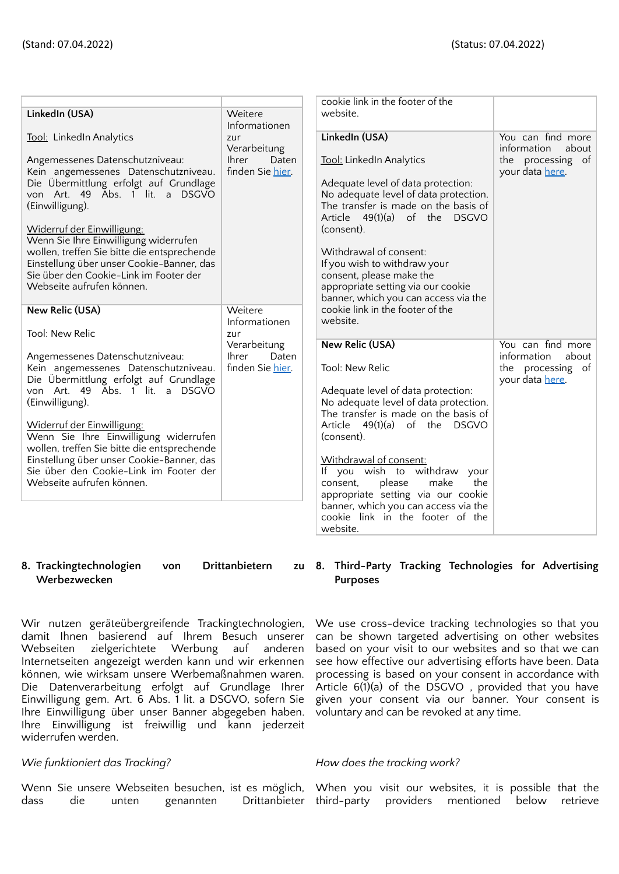|                                                                           |                       | cookie link in the footer of the                                            |                      |
|---------------------------------------------------------------------------|-----------------------|-----------------------------------------------------------------------------|----------------------|
| LinkedIn (USA)                                                            | Weitere               | website.                                                                    |                      |
|                                                                           | Informationen         |                                                                             |                      |
| Tool: LinkedIn Analytics                                                  | zur                   | LinkedIn (USA)                                                              | You can find more    |
|                                                                           | Verarbeitung          |                                                                             | information<br>about |
| Angemessenes Datenschutzniveau:                                           | <b>Ihrer</b><br>Daten | Tool: LinkedIn Analytics                                                    | the processing of    |
| Kein angemessenes Datenschutzniveau.                                      | finden Sie hier       |                                                                             | your data here.      |
| Die Übermittlung erfolgt auf Grundlage                                    |                       | Adequate level of data protection:                                          |                      |
| von Art. 49 Abs. 1 lit. a DSGVO                                           |                       | No adequate level of data protection.                                       |                      |
| (Einwilligung).                                                           |                       | The transfer is made on the basis of                                        |                      |
|                                                                           |                       | Article 49(1)(a) of the DSGVO                                               |                      |
| Widerruf der Einwilligung:                                                |                       | (consent).                                                                  |                      |
| Wenn Sie Ihre Einwilligung widerrufen                                     |                       |                                                                             |                      |
| wollen, treffen Sie bitte die entsprechende                               |                       | Withdrawal of consent:                                                      |                      |
| Einstellung über unser Cookie-Banner, das                                 |                       | If you wish to withdraw your                                                |                      |
| Sie über den Cookie-Link im Footer der                                    |                       | consent, please make the                                                    |                      |
| Webseite aufrufen können.                                                 |                       | appropriate setting via our cookie                                          |                      |
|                                                                           |                       | banner, which you can access via the                                        |                      |
| <b>New Relic (USA)</b>                                                    | Weitere               | cookie link in the footer of the                                            |                      |
|                                                                           | Informationen         | website.                                                                    |                      |
| Tool: New Relic                                                           | zur                   |                                                                             |                      |
|                                                                           | Verarbeitung          | <b>New Relic (USA)</b>                                                      | You can find more    |
| Angemessenes Datenschutzniveau:                                           | <b>Ihrer</b><br>Daten |                                                                             | information<br>about |
| Kein angemessenes Datenschutzniveau.                                      | finden Sie hier.      | Tool: New Relic                                                             | the processing of    |
| Die Übermittlung erfolgt auf Grundlage<br>von Art. 49 Abs. 1 lit. a DSGVO |                       |                                                                             | your data here.      |
| (Einwilligung).                                                           |                       | Adequate level of data protection:<br>No adequate level of data protection. |                      |
|                                                                           |                       | The transfer is made on the basis of                                        |                      |
| Widerruf der Einwilligung:                                                |                       | Article 49(1)(a) of the DSGVO                                               |                      |
| Wenn Sie Ihre Einwilligung widerrufen                                     |                       | (consent).                                                                  |                      |
| wollen, treffen Sie bitte die entsprechende                               |                       |                                                                             |                      |
| Einstellung über unser Cookie-Banner, das                                 |                       | Withdrawal of consent:                                                      |                      |
| Sie über den Cookie-Link im Footer der                                    |                       | If you wish to withdraw your                                                |                      |
| Webseite aufrufen können.                                                 |                       | make<br>the<br>consent,<br>please                                           |                      |
|                                                                           |                       | appropriate setting via our cookie                                          |                      |
|                                                                           |                       | banner, which you can access via the                                        |                      |
|                                                                           |                       | cookie link in the footer of the                                            |                      |
|                                                                           |                       | website.                                                                    |                      |
|                                                                           |                       |                                                                             |                      |

### **8. Trackingtechnologien von Drittanbietern zu Werbezwecken**

Wir nutzen geräteübergreifende Trackingtechnologien, damit Ihnen basierend auf Ihrem Besuch unserer Webseiten zielgerichtete Werbung auf anderen Internetseiten angezeigt werden kann und wir erkennen können, wie wirksam unsere Werbemaßnahmen waren. Die Datenverarbeitung erfolgt auf Grundlage Ihrer Einwilligung gem. Art. 6 Abs. 1 lit. a DSGVO, sofern Sie Ihre Einwilligung über unser Banner abgegeben haben. Ihre Einwilligung ist freiwillig und kann jederzeit widerrufen werden.

# *Wie funktioniert das Tracking? How does the tracking work?*

dass die unten genannten Drittanbieter third-party providers mentioned below retrieve

# **8. Third-Party Tracking Technologies for Advertising Purposes**

We use cross-device tracking technologies so that you can be shown targeted advertising on other websites based on your visit to our websites and so that we can see how effective our advertising efforts have been. Data processing is based on your consent in accordance with Article 6(1)(a) of the DSGVO , provided that you have given your consent via our banner. Your consent is voluntary and can be revoked at any time.

Wenn Sie unsere Webseiten besuchen, ist es möglich, When you visit our websites, it is possible that the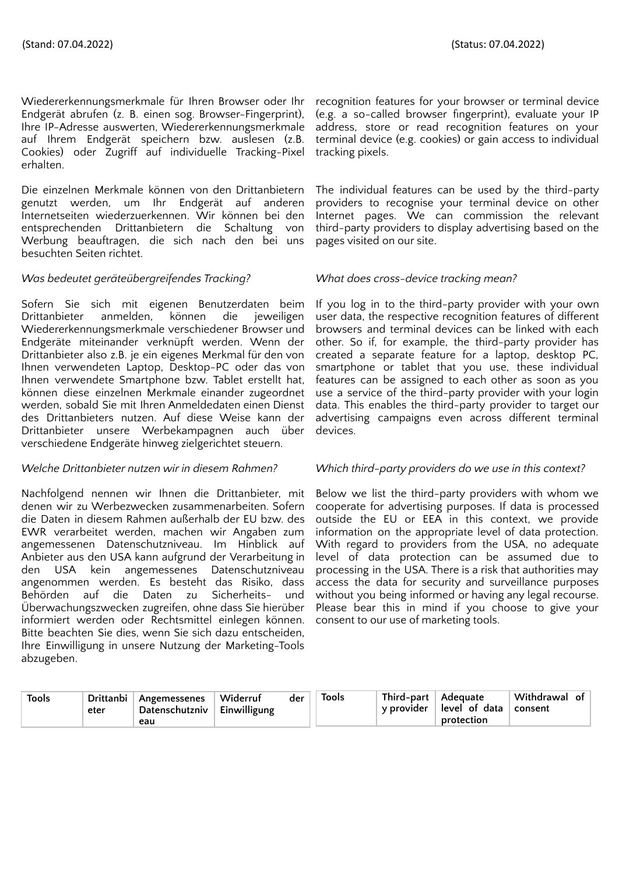Wiedererkennungsmerkmale für Ihren Browser oder Ihr Endgerät abrufen (z. B. einen sog. Browser-Fingerprint), Ihre IP-Adresse auswerten, Wiedererkennungsmerkmale auf Ihrem Endgerät speichern bzw. auslesen (z.B. Cookies) oder Zugriff auf individuelle Tracking-Pixel erhalten.

Die einzelnen Merkmale können von den Drittanbietern genutzt werden, um Ihr Endgerät auf anderen Internetseiten wiederzuerkennen. Wir können bei den entsprechenden Drittanbietern die Schaltung von Werbung beauftragen, die sich nach den bei uns besuchten Seiten richtet.

# *Was bedeutet geräteübergreifendes Tracking? What does cross-device tracking mean?*

Sofern Sie sich mit eigenen Benutzerdaten beim Drittanbieter anmelden, können die jeweiligen Wiedererkennungsmerkmale verschiedener Browser und Endgeräte miteinander verknüpft werden. Wenn der Drittanbieter also z.B. je ein eigenes Merkmal für den von Ihnen verwendeten Laptop, Desktop-PC oder das von Ihnen verwendete Smartphone bzw. Tablet erstellt hat, können diese einzelnen Merkmale einander zugeordnet werden, sobald Sie mit Ihren Anmeldedaten einen Dienst des Drittanbieters nutzen. Auf diese Weise kann der Drittanbieter unsere Werbekampagnen auch über verschiedene Endgeräte hinweg zielgerichtet steuern.

Nachfolgend nennen wir Ihnen die Drittanbieter, mit denen wir zu Werbezwecken zusammenarbeiten. Sofern die Daten in diesem Rahmen außerhalb der EU bzw. des EWR verarbeitet werden, machen wir Angaben zum angemessenen Datenschutzniveau. Im Hinblick auf Anbieter aus den USA kann aufgrund der Verarbeitung in den USA kein angemessenes Datenschutzniveau angenommen werden. Es besteht das Risiko, dass Behörden auf die Daten zu Sicherheits- und Überwachungszwecken zugreifen, ohne dass Sie hierüber informiert werden oder Rechtsmittel einlegen können. Bitte beachten Sie dies, wenn Sie sich dazu entscheiden, Ihre Einwilligung in unsere Nutzung der Marketing-Tools abzugeben.

recognition features for your browser or terminal device (e.g. a so-called browser fingerprint), evaluate your IP address, store or read recognition features on your terminal device (e.g. cookies) or gain access to individual tracking pixels.

The individual features can be used by the third-party providers to recognise your terminal device on other Internet pages. We can commission the relevant third-party providers to display advertising based on the pages visited on our site.

If you log in to the third-party provider with your own user data, the respective recognition features of different browsers and terminal devices can be linked with each other. So if, for example, the third-party provider has created a separate feature for a laptop, desktop PC, smartphone or tablet that you use, these individual features can be assigned to each other as soon as you use a service of the third-party provider with your login data. This enables the third-party provider to target our advertising campaigns even across different terminal devices.

# *Welche Drittanbieter nutzen wir in diesem Rahmen? Which third-party providers do we use in this context?*

Below we list the third-party providers with whom we cooperate for advertising purposes. If data is processed outside the EU or EEA in this context, we provide information on the appropriate level of data protection. With regard to providers from the USA, no adequate level of data protection can be assumed due to processing in the USA. There is a risk that authorities may access the data for security and surveillance purposes without you being informed or having any legal recourse. Please bear this in mind if you choose to give your consent to our use of marketing tools.

| Tools<br>eter | Drittanbi<br>Angemessenes<br>Datenschutzniv  <br>eau | Widerruf<br><sup>t</sup> Einwilligung | Tools<br>der | Third-part<br>v provider » | Adequate<br>level of data<br>protection | Withdrawal of<br>consent |  |
|---------------|------------------------------------------------------|---------------------------------------|--------------|----------------------------|-----------------------------------------|--------------------------|--|
|---------------|------------------------------------------------------|---------------------------------------|--------------|----------------------------|-----------------------------------------|--------------------------|--|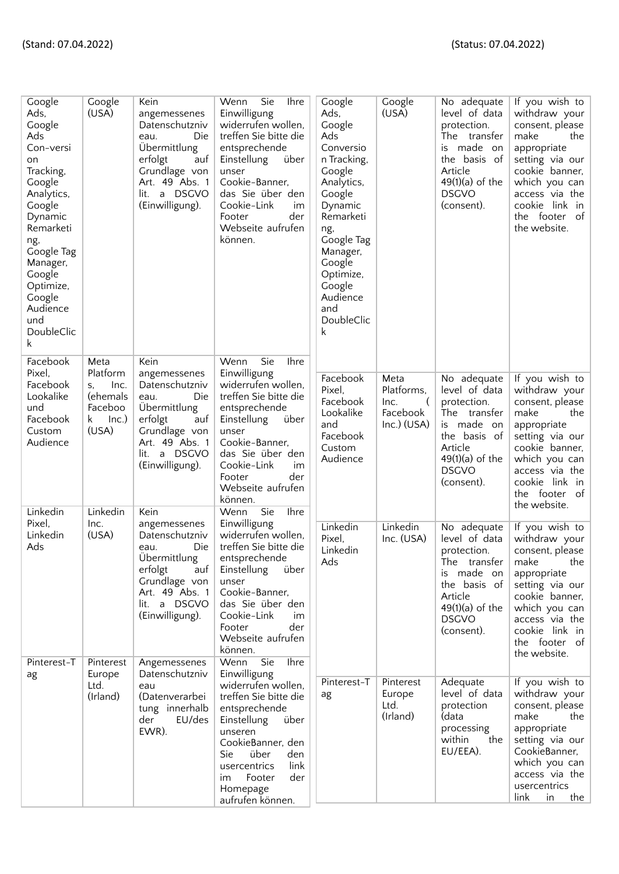| Google<br>Ads,<br>Google<br>Ads<br>Con-versi<br>on<br>Tracking,<br>Google<br>Analytics,<br>Google<br>Dynamic<br>Remarketi<br>ng,<br>Google Tag<br>Manager,<br>Google<br>Optimize,<br>Google<br>Audience<br>und<br>DoubleClic<br>k | Google<br>(USA)                                                                           | Kein<br>angemessenes<br>Datenschutzniv<br>Die<br>eau.<br>Übermittlung<br>erfolgt<br>auf<br>Grundlage von<br>Art. 49 Abs. 1<br>a DSGVO<br>lit.<br>(Einwilligung).         | Wenn<br>Sie<br><b>Ihre</b><br>Einwilligung<br>widerrufen wollen,<br>treffen Sie bitte die<br>entsprechende<br>Einstellung<br>über<br>unser<br>Cookie-Banner,<br>das Sie über den<br>Cookie-Link<br>im<br>der<br>Footer<br>Webseite aufrufen<br>können.                        | Google<br>Ads,<br>Google<br>Ads<br>Conversio<br>n Tracking,<br>Google<br>Analytics,<br>Google<br>Dynamic<br>Remarketi<br>ng,<br>Google Tag<br>Manager,<br>Google<br>Optimize,<br>Google<br>Audience<br>and<br>DoubleClic<br>k | Google<br>(USA)                                                     | No adequate<br>level of data<br>protection.<br>The transfer<br>made on<br>is<br>the basis of<br>Article<br>$49(1)(a)$ of the<br><b>DSGVO</b><br>(consent).  | If you wish to<br>withdraw your<br>consent, please<br>make<br>the<br>appropriate<br>setting via our<br>cookie banner,<br>which you can<br>access via the<br>cookie link in<br>the footer of<br>the website. |
|-----------------------------------------------------------------------------------------------------------------------------------------------------------------------------------------------------------------------------------|-------------------------------------------------------------------------------------------|--------------------------------------------------------------------------------------------------------------------------------------------------------------------------|-------------------------------------------------------------------------------------------------------------------------------------------------------------------------------------------------------------------------------------------------------------------------------|-------------------------------------------------------------------------------------------------------------------------------------------------------------------------------------------------------------------------------|---------------------------------------------------------------------|-------------------------------------------------------------------------------------------------------------------------------------------------------------|-------------------------------------------------------------------------------------------------------------------------------------------------------------------------------------------------------------|
| Facebook<br>Pixel,<br>Facebook<br>Lookalike<br>und<br>Facebook<br>Custom<br>Audience<br>Linkedin                                                                                                                                  | Meta<br>Platform<br>Inc.<br>S,<br>(ehemals<br>Faceboo<br>Inc.)<br>k.<br>(USA)<br>Linkedin | Kein<br>angemessenes<br>Datenschutzniv<br>Die<br>eau.<br>Übermittlung<br>erfolgt<br>auf<br>Grundlage von<br>Art. 49 Abs. 1<br>a DSGVO<br>lit.<br>(Einwilligung).<br>Kein | Wenn<br>Sie<br><b>Ihre</b><br>Einwilligung<br>widerrufen wollen.<br>treffen Sie bitte die<br>entsprechende<br>Einstellung<br>über<br>unser<br>Cookie-Banner,<br>das Sie über den<br>Cookie-Link<br>im<br>der<br>Footer<br>Webseite aufrufen<br>können.<br>Sie<br>Ihre<br>Wenn | Facebook<br>Pixel,<br>Facebook<br>Lookalike<br>and<br>Facebook<br>Custom<br>Audience                                                                                                                                          | Meta<br>Platforms,<br>Inc.<br>$\left($<br>Facebook<br>$Inc.)$ (USA) | No adequate<br>level of data<br>protection.<br>The transfer<br>is made on<br>the basis of<br>Article<br>$49(1)(a)$ of the<br><b>DSGVO</b><br>(consent).     | If you wish to<br>withdraw your<br>consent, please<br>make<br>the<br>appropriate<br>setting via our<br>cookie banner,<br>which you can<br>access via the<br>cookie link in<br>the footer of<br>the website. |
| Pixel,<br>Linkedin<br>Ads<br>Pinterest-T                                                                                                                                                                                          | Inc.<br>(USA)<br>Pinterest                                                                | angemessenes<br>Datenschutzniv<br>Die<br>eau.<br>Übermittlung<br>erfolgt<br>auf<br>Grundlage von<br>Art. 49 Abs. 1<br>lit. a DSGVO<br>(Einwilligung).<br>Angemessenes    | Einwilligung<br>widerrufen wollen,<br>treffen Sie bitte die<br>entsprechende<br>Einstellung<br>über<br>unser<br>Cookie-Banner,<br>das Sie über den<br>Cookie-Link<br>im<br>Footer<br>der<br>Webseite aufrufen<br>können.<br>Wenn<br>Sie<br><b>Ihre</b>                        | Linkedin<br>Pixel,<br>Linkedin<br>Ads                                                                                                                                                                                         | Linkedin<br>Inc. (USA)                                              | No adequate<br>level of data<br>protection.<br>The transfer<br>made on<br>İS.<br>the basis of<br>Article<br>$49(1)(a)$ of the<br><b>DSGVO</b><br>(consent). | If you wish to<br>withdraw your<br>consent, please<br>make<br>the<br>appropriate<br>setting via our<br>cookie banner,<br>which you can<br>access via the<br>cookie link in<br>the footer of<br>the website. |
| ag                                                                                                                                                                                                                                | Europe<br>Ltd.<br>(Irland)                                                                | Datenschutzniv<br>eau<br>(Datenverarbei<br>tung innerhalb<br>EU/des<br>der<br>EWR).                                                                                      | Einwilligung<br>widerrufen wollen,<br>treffen Sie bitte die<br>entsprechende<br>Einstellung<br>über<br>unseren<br>CookieBanner, den<br>Sie<br>über<br>den<br>link<br>usercentrics<br>Footer<br>der<br>im<br>Homepage<br>aufrufen können.                                      | Pinterest-T<br>ag                                                                                                                                                                                                             | Pinterest<br>Europe<br>Ltd.<br>(Irland)                             | Adequate<br>level of data<br>protection<br>(data<br>processing<br>within<br>the<br>EU/EEA).                                                                 | If you wish to<br>withdraw your<br>consent, please<br>make<br>the<br>appropriate<br>setting via our<br>CookieBanner,<br>which you can<br>access via the<br>usercentrics<br>link<br>in<br>the                |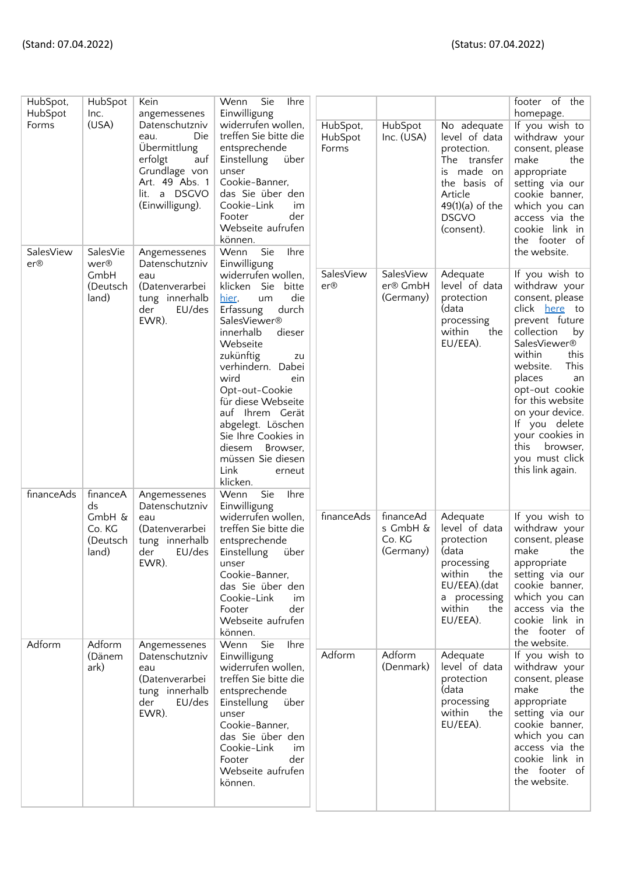| HubSpot,<br>HubSpot<br>Forms<br>SalesView | HubSpot<br>Inc.<br>(USA)<br>SalesVie          | Kein<br>angemessenes<br>Datenschutzniv<br>Die<br>eau.<br>Übermittlung<br>erfolgt<br>auf<br>Grundlage von<br>Art. 49 Abs. 1<br>lit. a DSGVO<br>(Einwilligung).<br>Angemessenes | Wenn<br>Sie<br><b>Ihre</b><br>Einwilligung<br>widerrufen wollen,<br>treffen Sie bitte die<br>entsprechende<br>Einstellung<br>über<br>unser<br>Cookie-Banner,<br>das Sie über den<br>Cookie-Link<br>im<br>Footer<br>der<br>Webseite aufrufen<br>können.<br>Ihre<br>Wenn<br>Sie                                                                                                                                                              | HubSpot,<br>HubSpot<br>Forms | HubSpot<br>Inc. (USA)                        | No adequate<br>level of data<br>protection.<br>The transfer<br>made on<br>is.<br>the basis of<br>Article<br>$49(1)(a)$ of the<br><b>DSGVO</b><br>(consent). | footer of the<br>homepage.<br>If you wish to<br>withdraw your<br>consent, please<br>make<br>the<br>appropriate<br>setting via our<br>cookie banner,<br>which you can<br>access via the<br>cookie link in<br>the footer of<br>the website.                                                                                                     |
|-------------------------------------------|-----------------------------------------------|-------------------------------------------------------------------------------------------------------------------------------------------------------------------------------|--------------------------------------------------------------------------------------------------------------------------------------------------------------------------------------------------------------------------------------------------------------------------------------------------------------------------------------------------------------------------------------------------------------------------------------------|------------------------------|----------------------------------------------|-------------------------------------------------------------------------------------------------------------------------------------------------------------|-----------------------------------------------------------------------------------------------------------------------------------------------------------------------------------------------------------------------------------------------------------------------------------------------------------------------------------------------|
| er@<br>financeAds                         | wer®<br>GmbH<br>(Deutsch<br>land)<br>financeA | Datenschutzniv<br>eau<br>(Datenverarbei<br>tung innerhalb<br>EU/des<br>der<br>EWR).<br>Angemessenes                                                                           | Einwilligung<br>widerrufen wollen,<br>klicken Sie<br>bitte<br>die<br>hier,<br>um<br>Erfassung<br>durch<br>SalesViewer <sup>®</sup><br>innerhalb<br>dieser<br>Webseite<br>zukünftig<br>zu<br>verhindern. Dabei<br>wird<br>ein<br>Opt-out-Cookie<br>für diese Webseite<br>auf Ihrem Gerät<br>abgelegt. Löschen<br>Sie Ihre Cookies in<br>diesem<br>Browser,<br>müssen Sie diesen<br>Link<br>erneut<br>klicken.<br>Wenn<br>Sie<br><b>Ihre</b> | SalesView<br>er@             | SalesView<br>er® GmbH<br>(Germany)           | Adequate<br>level of data<br>protection<br>(data<br>processing<br>within<br>the<br>EU/EEA).                                                                 | If you wish to<br>withdraw your<br>consent, please<br>click <u>here</u> to<br>prevent future<br>collection<br>by<br>SalesViewer®<br>within<br>this<br>This<br>website.<br>places<br>an<br>opt-out cookie<br>for this website<br>on your device.<br>If you delete<br>your cookies in<br>this<br>browser.<br>you must click<br>this link again. |
|                                           | ds<br>$GmbH$ &<br>Co. KG<br>(Deutsch<br>land) | Datenschutzniv<br>eau<br>(Datenverarbei<br>tung innerhalb<br>der<br>EU/des<br>EWR).                                                                                           | Einwilligung<br>widerrufen wollen,<br>treffen Sie bitte die<br>entsprechende<br>Einstellung<br>über<br>unser<br>Cookie-Banner,<br>das Sie über den<br>Cookie-Link<br>im<br>Footer<br>der<br>Webseite aufrufen<br>können.                                                                                                                                                                                                                   | financeAds                   | financeAd<br>s GmbH &<br>Co. KG<br>(Germany) | Adequate<br>level of data<br>protection<br>(data<br>processing<br>within<br>the<br>EU/EEA).(dat<br>a processing<br>within<br>the<br>EU/EEA).                | If you wish to<br>withdraw your<br>consent, please<br>make<br>the<br>appropriate<br>setting via our<br>cookie banner,<br>which you can<br>access via the<br>cookie link in<br>the footer of<br>the website.                                                                                                                                   |
| Adform                                    | Adform<br>(Dänem<br>ark)                      | Angemessenes<br>Datenschutzniv<br>eau<br>(Datenverarbei<br>tung innerhalb<br>der<br>EU/des<br>EWR).                                                                           | Wenn<br>Sie<br>Ihre<br>Einwilligung<br>widerrufen wollen,<br>treffen Sie bitte die<br>entsprechende<br>Einstellung<br>über<br>unser<br>Cookie-Banner,<br>das Sie über den<br>Cookie-Link<br>im<br>der<br>Footer<br>Webseite aufrufen<br>können.                                                                                                                                                                                            | Adform                       | Adform<br>(Denmark)                          | Adequate<br>level of data<br>protection<br>(data<br>processing<br>the<br>within<br>EU/EEA).                                                                 | If you wish to<br>withdraw your<br>consent, please<br>make<br>the<br>appropriate<br>setting via our<br>cookie banner,<br>which you can<br>access via the<br>cookie link in<br>the footer of<br>the website.                                                                                                                                   |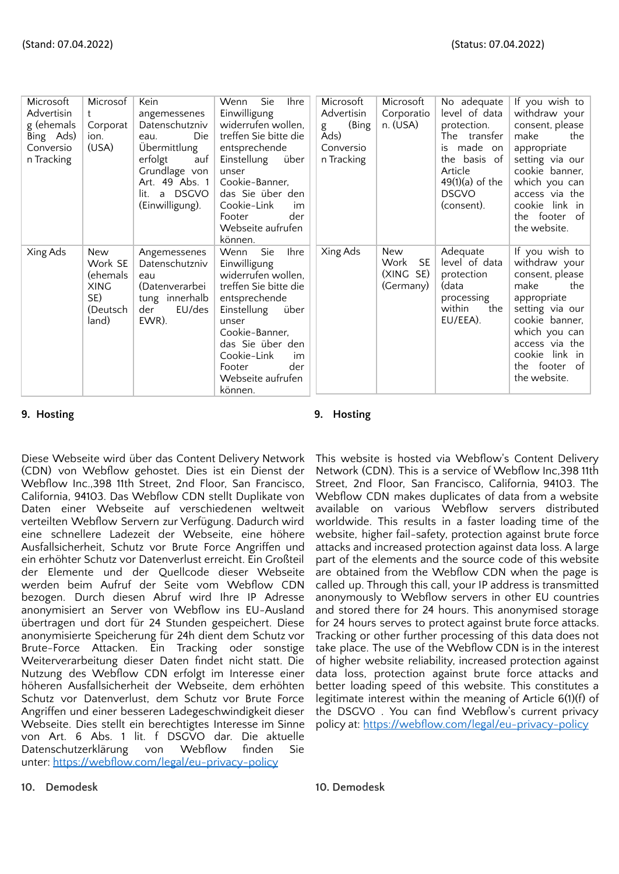| Microsoft<br>Advertisin<br>g (ehemals<br>Bing Ads)<br>Conversio<br>n Tracking | Microsof<br>t<br>Corporat<br>ion.<br>(USA)                            | Kein<br>angemessenes<br>Datenschutzniv<br>Die<br>eau.<br>Übermittlung<br>erfolgt<br>auf<br>Grundlage von<br>Art. 49 Abs. 1<br><b>DSGVO</b><br>lit.<br>a<br>(Einwilligung). | <b>Sie</b><br><b>Ihre</b><br>Wenn<br>Einwilligung<br>widerrufen wollen,<br>treffen Sie bitte die<br>entsprechende<br>über<br>Einstellung<br>unser<br>Cookie-Banner,<br>das Sie über den<br>Cookie-Link<br>im<br>der<br>Footer<br>Webseite aufrufen<br>können. | Microsoft<br>Advertisin<br>(Bing<br>g<br>Ads)<br>Conversio<br>n Tracking | Microsoft<br>Corporatio<br>$n.$ (USA)              | No adequate<br>level of data<br>protection.<br>The transfer<br>made on<br>is<br>the basis of<br>Article<br>$49(1)(a)$ of the<br><b>DSGVO</b><br>(consent). | If you wish to<br>withdraw your<br>consent, please<br>make<br>the<br>appropriate<br>setting via our<br>cookie banner,<br>which you can<br>access via the<br>cookie link in<br>the footer of<br>the website. |
|-------------------------------------------------------------------------------|-----------------------------------------------------------------------|----------------------------------------------------------------------------------------------------------------------------------------------------------------------------|---------------------------------------------------------------------------------------------------------------------------------------------------------------------------------------------------------------------------------------------------------------|--------------------------------------------------------------------------|----------------------------------------------------|------------------------------------------------------------------------------------------------------------------------------------------------------------|-------------------------------------------------------------------------------------------------------------------------------------------------------------------------------------------------------------|
| Xing Ads                                                                      | New<br>Work SE<br>(ehemals<br><b>XING</b><br>SE)<br>(Deutsch<br>land) | Angemessenes<br>Datenschutzniv<br>eau<br>(Datenverarbei<br>tung innerhalb<br>EU/des<br>der<br>EWR).                                                                        | Ihre<br>Wenn<br>Sie<br>Einwilligung<br>widerrufen wollen,<br>treffen Sie bitte die<br>entsprechende<br>Einstellung<br>über<br>unser<br>Cookie-Banner,<br>das Sie über den<br>Cookie-Link<br>im<br>der<br>Footer<br>Webseite aufrufen<br>können.               | Xing Ads                                                                 | New<br>Work<br><b>SE</b><br>(XING SE)<br>(Germany) | Adequate<br>level of data<br>protection<br>(data<br>processing<br>within<br>the<br>EU/EEA).                                                                | If you wish to<br>withdraw your<br>consent, please<br>make<br>the<br>appropriate<br>setting via our<br>cookie banner,<br>which you can<br>access via the<br>cookie link in<br>the footer of<br>the website. |

**9. Hosting 9. Hosting**

Diese Webseite wird über das Content Delivery Network (CDN) von Webflow gehostet. Dies ist ein Dienst der Webflow Inc.,398 11th Street, 2nd Floor, San Francisco, California, 94103. Das Webflow CDN stellt Duplikate von Daten einer Webseite auf verschiedenen weltweit verteilten Webflow Servern zur Verfügung. Dadurch wird eine schnellere Ladezeit der Webseite, eine höhere Ausfallsicherheit, Schutz vor Brute Force Angriffen und ein erhöhter Schutz vor Datenverlust erreicht. Ein Großteil der Elemente und der Quellcode dieser Webseite werden beim Aufruf der Seite vom Webflow CDN bezogen. Durch diesen Abruf wird Ihre IP Adresse anonymisiert an Server von Webflow ins EU-Ausland übertragen und dort für 24 Stunden gespeichert. Diese anonymisierte Speicherung für 24h dient dem Schutz vor Brute-Force Attacken. Ein Tracking oder sonstige Weiterverarbeitung dieser Daten findet nicht statt. Die Nutzung des Webflow CDN erfolgt im Interesse einer höheren Ausfallsicherheit der Webseite, dem erhöhten Schutz vor Datenverlust, dem Schutz vor Brute Force Angriffen und einer besseren Ladegeschwindigkeit dieser Webseite. Dies stellt ein berechtigtes Interesse im Sinne von Art. 6 Abs. 1 lit. f DSGVO dar. Die aktuelle Datenschutzerklärung von Webflow finden Sie unter: <https://webflow.com/legal/eu-privacy-policy>

This website is hosted via Webflow's Content Delivery Network (CDN). This is a service of Webflow Inc,398 11th Street, 2nd Floor, San Francisco, California, 94103. The Webflow CDN makes duplicates of data from a website available on various Webflow servers distributed worldwide. This results in a faster loading time of the website, higher fail-safety, protection against brute force attacks and increased protection against data loss. A large part of the elements and the source code of this website are obtained from the Webflow CDN when the page is called up. Through this call, your IP address is transmitted anonymously to Webflow servers in other EU countries and stored there for 24 hours. This anonymised storage for 24 hours serves to protect against brute force attacks. Tracking or other further processing of this data does not take place. The use of the Webflow CDN is in the interest of higher website reliability, increased protection against data loss, protection against brute force attacks and better loading speed of this website. This constitutes a legitimate interest within the meaning of Article 6(1)(f) of the DSGVO . You can find Webflow's current privacy policy at: <https://webflow.com/legal/eu-privacy-policy>

**10. Demodesk 10. Demodesk**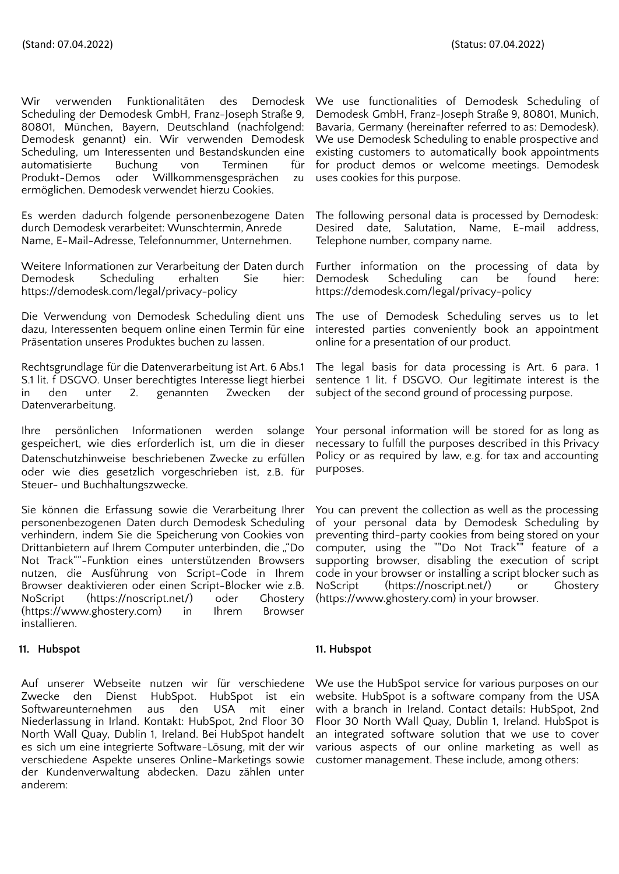Wir verwenden Funktionalitäten des Demodesk Scheduling der Demodesk GmbH, Franz-Joseph Straße 9, 80801, München, Bayern, Deutschland (nachfolgend: Demodesk genannt) ein. Wir verwenden Demodesk Scheduling, um Interessenten und Bestandskunden eine automatisierte Buchung von Terminen für Produkt-Demos oder Willkommensgesprächen zu ermöglichen. Demodesk verwendet hierzu Cookies.

Es werden dadurch folgende personenbezogene Daten durch Demodesk verarbeitet: Wunschtermin, Anrede Name, E-Mail-Adresse, Telefonnummer, Unternehmen.

Weitere Informationen zur Verarbeitung der Daten durch Demodesk Scheduling erhalten Sie hier: https://demodesk.com/legal/privacy-policy

Die Verwendung von Demodesk Scheduling dient uns dazu, Interessenten bequem online einen Termin für eine Präsentation unseres Produktes buchen zu lassen.

Rechtsgrundlage für die Datenverarbeitung ist Art. 6 Abs.1 S.1 lit. f DSGVO. Unser berechtigtes Interesse liegt hierbei in den unter 2. genannten Zwecken der Datenverarbeitung.

Ihre persönlichen Informationen werden solange gespeichert, wie dies erforderlich ist, um die in dieser Datenschutzhinweise beschriebenen Zwecke zu erfüllen oder wie dies gesetzlich vorgeschrieben ist, z.B. für Steuer- und Buchhaltungszwecke.

Sie können die Erfassung sowie die Verarbeitung Ihrer personenbezogenen Daten durch Demodesk Scheduling verhindern, indem Sie die Speicherung von Cookies von Drittanbietern auf Ihrem Computer unterbinden, die ""Do Not Track""-Funktion eines unterstützenden Browsers nutzen, die Ausführung von Script-Code in Ihrem Browser deaktivieren oder einen Script-Blocker wie z.B. NoScript (https://noscript.net/) oder Ghostery (https://www.ghostery.com) in Ihrem Browser installieren.

# **11. Hubspot 11. Hubspot**

Auf unserer Webseite nutzen wir für verschiedene Zwecke den Dienst HubSpot. HubSpot ist ein Softwareunternehmen aus den USA mit einer Niederlassung in Irland. Kontakt: HubSpot, 2nd Floor 30 North Wall Quay, Dublin 1, Ireland. Bei HubSpot handelt es sich um eine integrierte Software-Lösung, mit der wir verschiedene Aspekte unseres Online-Marketings sowie der Kundenverwaltung abdecken. Dazu zählen unter anderem:

We use functionalities of Demodesk Scheduling of Demodesk GmbH, Franz-Joseph Straße 9, 80801, Munich, Bavaria, Germany (hereinafter referred to as: Demodesk). We use Demodesk Scheduling to enable prospective and existing customers to automatically book appointments for product demos or welcome meetings. Demodesk uses cookies for this purpose.

The following personal data is processed by Demodesk: Desired date, Salutation, Name, E-mail address, Telephone number, company name.

Further information on the processing of data by Demodesk Scheduling can be found here: https://demodesk.com/legal/privacy-policy

The use of Demodesk Scheduling serves us to let interested parties conveniently book an appointment online for a presentation of our product.

The legal basis for data processing is Art. 6 para. 1 sentence 1 lit. f DSGVO. Our legitimate interest is the subject of the second ground of processing purpose.

Your personal information will be stored for as long as necessary to fulfill the purposes described in this Privacy Policy or as required by law, e.g. for tax and accounting purposes.

You can prevent the collection as well as the processing of your personal data by Demodesk Scheduling by preventing third-party cookies from being stored on your computer, using the ""Do Not Track"" feature of a supporting browser, disabling the execution of script code in your browser or installing a script blocker such as NoScript (https://noscript.net/) or Ghostery (https://www.ghostery.com) in your browser.

We use the HubSpot service for various purposes on our website. HubSpot is a software company from the USA with a branch in Ireland. Contact details: HubSpot, 2nd Floor 30 North Wall Quay, Dublin 1, Ireland. HubSpot is an integrated software solution that we use to cover various aspects of our online marketing as well as customer management. These include, among others: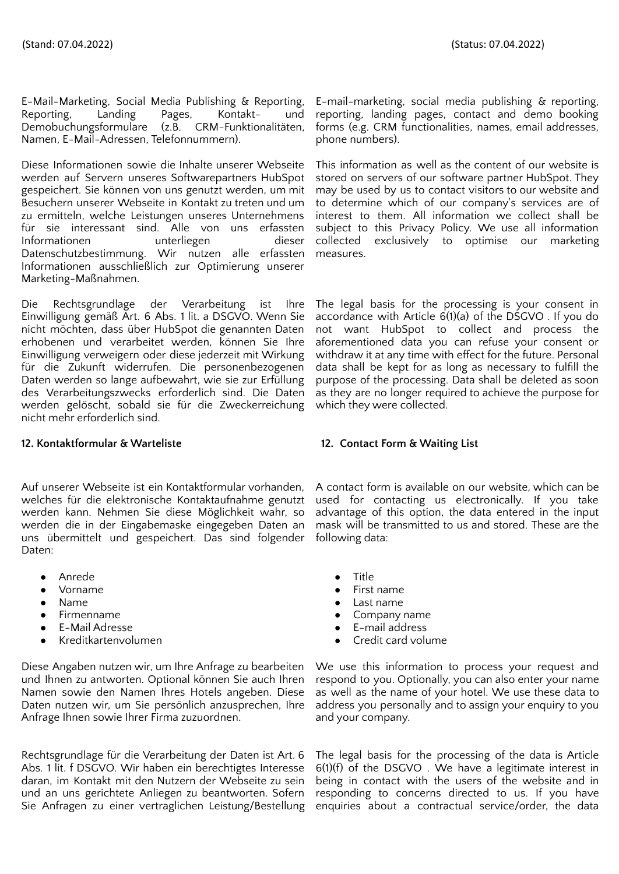E-Mail-Marketing, Social Media Publishing & Reporting, Reporting, Landing Pages, Kontakt- und Demobuchungsformulare (z.B. CRM-Funktionalitäten, Namen, E-Mail-Adressen, Telefonnummern).

Diese Informationen sowie die Inhalte unserer Webseite werden auf Servern unseres Softwarepartners HubSpot gespeichert. Sie können von uns genutzt werden, um mit Besuchern unserer Webseite in Kontakt zu treten und um zu ermitteln, welche Leistungen unseres Unternehmens für sie interessant sind. Alle von uns erfassten Informationen unterliegen dieser Datenschutzbestimmung. Wir nutzen alle erfassten Informationen ausschließlich zur Optimierung unserer Marketing-Maßnahmen.

Die Rechtsgrundlage der Verarbeitung ist Ihre Einwilligung gemäß Art. 6 Abs. 1 lit. a DSGVO. Wenn Sie nicht möchten, dass über HubSpot die genannten Daten erhobenen und verarbeitet werden, können Sie Ihre Einwilligung verweigern oder diese jederzeit mit Wirkung für die Zukunft widerrufen. Die personenbezogenen Daten werden so lange aufbewahrt, wie sie zur Erfüllung des Verarbeitungszwecks erforderlich sind. Die Daten werden gelöscht, sobald sie für die Zweckerreichung nicht mehr erforderlich sind.

# **12. Kontaktformular & Warteliste 12. Contact Form & Waiting List**

Auf unserer Webseite ist ein Kontaktformular vorhanden, welches für die elektronische Kontaktaufnahme genutzt werden kann. Nehmen Sie diese Möglichkeit wahr, so werden die in der Eingabemaske eingegeben Daten an uns übermittelt und gespeichert. Das sind folgender Daten:

- Anrede ● Title
- 
- 
- 
- 
- 

Diese Angaben nutzen wir, um Ihre Anfrage zu bearbeiten und Ihnen zu antworten. Optional können Sie auch Ihren Namen sowie den Namen Ihres Hotels angeben. Diese Daten nutzen wir, um Sie persönlich anzusprechen, Ihre Anfrage Ihnen sowie Ihrer Firma zuzuordnen.

Rechtsgrundlage für die Verarbeitung der Daten ist Art. 6 Abs. 1 lit. f DSGVO. Wir haben ein berechtigtes Interesse daran, im Kontakt mit den Nutzern der Webseite zu sein und an uns gerichtete Anliegen zu beantworten. Sofern Sie Anfragen zu einer vertraglichen Leistung/Bestellung

E-mail-marketing, social media publishing & reporting, reporting, landing pages, contact and demo booking forms (e.g. CRM functionalities, names, email addresses, phone numbers).

This information as well as the content of our website is stored on servers of our software partner HubSpot. They may be used by us to contact visitors to our website and to determine which of our company's services are of interest to them. All information we collect shall be subject to this Privacy Policy. We use all information collected exclusively to optimise our marketing measures.

The legal basis for the processing is your consent in accordance with Article  $6(1)(a)$  of the DSGVO. If you do not want HubSpot to collect and process the aforementioned data you can refuse your consent or withdraw it at any time with effect for the future. Personal data shall be kept for as long as necessary to fulfill the purpose of the processing. Data shall be deleted as soon as they are no longer required to achieve the purpose for which they were collected.

A contact form is available on our website, which can be used for contacting us electronically. If you take advantage of this option, the data entered in the input mask will be transmitted to us and stored. These are the following data:

- 
- **Vorname** First name
- Name Last name
- Firmenname Pirmenname → Pirmenname → Pirmenname → Pirmenname → Pirmenname → Pirmenname → Pirmenname → Pirmenname → Pirmenname → Pirmenname → Pirmenname → Pirmenname → Pirmenname → Pirmenname → Pirmenname → Pirmenname →
- E-Mail Adresse E-mail address
	- Kreditkartenvolumen Credit card volume

We use this information to process your request and respond to you. Optionally, you can also enter your name as well as the name of your hotel. We use these data to address you personally and to assign your enquiry to you and your company.

The legal basis for the processing of the data is Article  $6(1)(f)$  of the DSGVO. We have a legitimate interest in being in contact with the users of the website and in responding to concerns directed to us. If you have enquiries about a contractual service/order, the data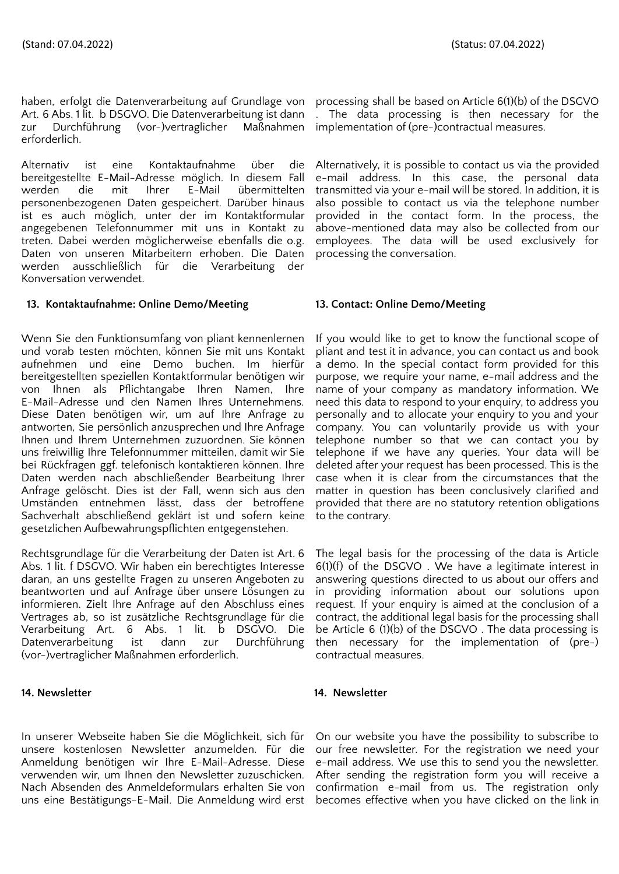haben, erfolgt die Datenverarbeitung auf Grundlage von processing shall be based on Article 6(1)(b) of the DSGVO Art. 6 Abs. 1 lit. b DSGVO. Die Datenverarbeitung ist dann zur Durchführung (vor-)vertraglicher Maßnahmen erforderlich.

Alternativ ist eine Kontaktaufnahme über die bereitgestellte E-Mail-Adresse möglich. In diesem Fall werden die mit Ihrer E-Mail übermittelten personenbezogenen Daten gespeichert. Darüber hinaus ist es auch möglich, unter der im Kontaktformular angegebenen Telefonnummer mit uns in Kontakt zu treten. Dabei werden möglicherweise ebenfalls die o.g. Daten von unseren Mitarbeitern erhoben. Die Daten werden ausschließlich für die Verarbeitung der Konversation verwendet.

# **13. Kontaktaufnahme: Online Demo/Meeting 13. Contact: Online Demo/Meeting**

Wenn Sie den Funktionsumfang von pliant kennenlernen und vorab testen möchten, können Sie mit uns Kontakt aufnehmen und eine Demo buchen. Im hierfür bereitgestellten speziellen Kontaktformular benötigen wir von Ihnen als Pflichtangabe Ihren Namen, Ihre E-Mail-Adresse und den Namen Ihres Unternehmens. Diese Daten benötigen wir, um auf Ihre Anfrage zu antworten, Sie persönlich anzusprechen und Ihre Anfrage Ihnen und Ihrem Unternehmen zuzuordnen. Sie können uns freiwillig Ihre Telefonnummer mitteilen, damit wir Sie bei Rückfragen ggf. telefonisch kontaktieren können. Ihre Daten werden nach abschließender Bearbeitung Ihrer Anfrage gelöscht. Dies ist der Fall, wenn sich aus den Umständen entnehmen lässt, dass der betroffene Sachverhalt abschließend geklärt ist und sofern keine gesetzlichen Aufbewahrungspflichten entgegenstehen.

Rechtsgrundlage für die Verarbeitung der Daten ist Art. 6 Abs. 1 lit. f DSGVO. Wir haben ein berechtigtes Interesse daran, an uns gestellte Fragen zu unseren Angeboten zu beantworten und auf Anfrage über unsere Lösungen zu informieren. Zielt Ihre Anfrage auf den Abschluss eines Vertrages ab, so ist zusätzliche Rechtsgrundlage für die Verarbeitung Art. 6 Abs. 1 lit. b DSGVO. Die Datenverarbeitung ist dann zur Durchführung (vor-)vertraglicher Maßnahmen erforderlich.

# **14. Newsletter 14. Newsletter**

In unserer Webseite haben Sie die Möglichkeit, sich für unsere kostenlosen Newsletter anzumelden. Für die Anmeldung benötigen wir Ihre E-Mail-Adresse. Diese verwenden wir, um Ihnen den Newsletter zuzuschicken. Nach Absenden des Anmeldeformulars erhalten Sie von uns eine Bestätigungs-E-Mail. Die Anmeldung wird erst

. The data processing is then necessary for the implementation of (pre-)contractual measures.

Alternatively, it is possible to contact us via the provided e-mail address. In this case, the personal data transmitted via your e-mail will be stored. In addition, it is also possible to contact us via the telephone number provided in the contact form. In the process, the above-mentioned data may also be collected from our employees. The data will be used exclusively for processing the conversation.

If you would like to get to know the functional scope of pliant and test it in advance, you can contact us and book a demo. In the special contact form provided for this purpose, we require your name, e-mail address and the name of your company as mandatory information. We need this data to respond to your enquiry, to address you personally and to allocate your enquiry to you and your company. You can voluntarily provide us with your telephone number so that we can contact you by telephone if we have any queries. Your data will be deleted after your request has been processed. This is the case when it is clear from the circumstances that the matter in question has been conclusively clarified and provided that there are no statutory retention obligations to the contrary.

The legal basis for the processing of the data is Article 6(1)(f) of the DSGVO . We have a legitimate interest in answering questions directed to us about our offers and in providing information about our solutions upon request. If your enquiry is aimed at the conclusion of a contract, the additional legal basis for the processing shall be Article 6 (1)(b) of the DSGVO . The data processing is then necessary for the implementation of (pre-) contractual measures.

On our website you have the possibility to subscribe to our free newsletter. For the registration we need your e-mail address. We use this to send you the newsletter. After sending the registration form you will receive a confirmation e-mail from us. The registration only becomes effective when you have clicked on the link in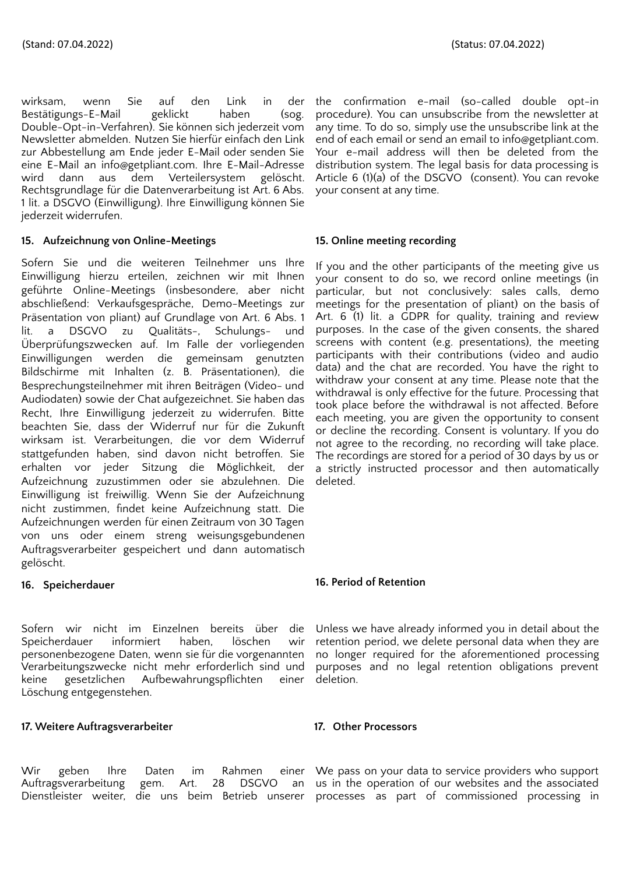wirksam, wenn Sie auf den Link in der Bestätigungs-E-Mail geklickt haben (sog. Double-Opt-in-Verfahren). Sie können sich jederzeit vom Newsletter abmelden. Nutzen Sie hierfür einfach den Link zur Abbestellung am Ende jeder E-Mail oder senden Sie eine E-Mail an info@getpliant.com. Ihre E-Mail-Adresse wird dann aus dem Verteilersystem gelöscht. Rechtsgrundlage für die Datenverarbeitung ist Art. 6 Abs. 1 lit. a DSGVO (Einwilligung). Ihre Einwilligung können Sie jederzeit widerrufen.

# **15. Aufzeichnung von Online-Meetings**

Sofern Sie und die weiteren Teilnehmer uns Ihre Einwilligung hierzu erteilen, zeichnen wir mit Ihnen geführte Online-Meetings (insbesondere, aber nicht abschließend: Verkaufsgespräche, Demo-Meetings zur Präsentation von pliant) auf Grundlage von Art. 6 Abs. 1 lit. a DSGVO zu Qualitäts-, Schulungs- und Überprüfungszwecken auf. Im Falle der vorliegenden Einwilligungen werden die gemeinsam genutzten Bildschirme mit Inhalten (z. B. Präsentationen), die Besprechungsteilnehmer mit ihren Beiträgen (Video- und Audiodaten) sowie der Chat aufgezeichnet. Sie haben das Recht, Ihre Einwilligung jederzeit zu widerrufen. Bitte beachten Sie, dass der Widerruf nur für die Zukunft wirksam ist. Verarbeitungen, die vor dem Widerruf stattgefunden haben, sind davon nicht betroffen. Sie erhalten vor jeder Sitzung die Möglichkeit, der Aufzeichnung zuzustimmen oder sie abzulehnen. Die Einwilligung ist freiwillig. Wenn Sie der Aufzeichnung nicht zustimmen, findet keine Aufzeichnung statt. Die Aufzeichnungen werden für einen Zeitraum von 30 Tagen von uns oder einem streng weisungsgebundenen Auftragsverarbeiter gespeichert und dann automatisch gelöscht.

# **16. Speicherdauer**

Sofern wir nicht im Einzelnen bereits über die Speicherdauer informiert haben, löschen wir personenbezogene Daten, wenn sie für die vorgenannten Verarbeitungszwecke nicht mehr erforderlich sind und<br>keine gesetzlichen Aufbewahrungspflichten einer keine gesetzlichen Aufbewahrungspflichten einer Löschung entgegenstehen.

# **17. Weitere Auftragsverarbeiter 17. Other Processors**

Wir geben Ihre Daten im Rahmen einer Auftragsverarbeitung gem. Art. 28 DSGVO an Dienstleister weiter, die uns beim Betrieb unserer processes as part of commissioned processing in

the confirmation e-mail (so-called double opt-in procedure). You can unsubscribe from the newsletter at any time. To do so, simply use the unsubscribe link at the end of each email or send an email to info@getpliant.com. Your e-mail address will then be deleted from the distribution system. The legal basis for data processing is Article 6 (1)(a) of the DSGVO (consent). You can revoke your consent at any time.

# **15. Online meeting recording**

If you and the other participants of the meeting give us your consent to do so, we record online meetings (in particular, but not conclusively: sales calls, demo meetings for the presentation of pliant) on the basis of Art. 6 (1) lit. a GDPR for quality, training and review purposes. In the case of the given consents, the shared screens with content (e.g. presentations), the meeting participants with their contributions (video and audio data) and the chat are recorded. You have the right to withdraw your consent at any time. Please note that the withdrawal is only effective for the future. Processing that took place before the withdrawal is not affected. Before each meeting, you are given the opportunity to consent or decline the recording. Consent is voluntary. If you do not agree to the recording, no recording will take place. The recordings are stored for a period of 30 days by us or a strictly instructed processor and then automatically deleted.

# **16. Period of Retention**

Unless we have already informed you in detail about the retention period, we delete personal data when they are no longer required for the aforementioned processing purposes and no legal retention obligations prevent deletion.

We pass on your data to service providers who support us in the operation of our websites and the associated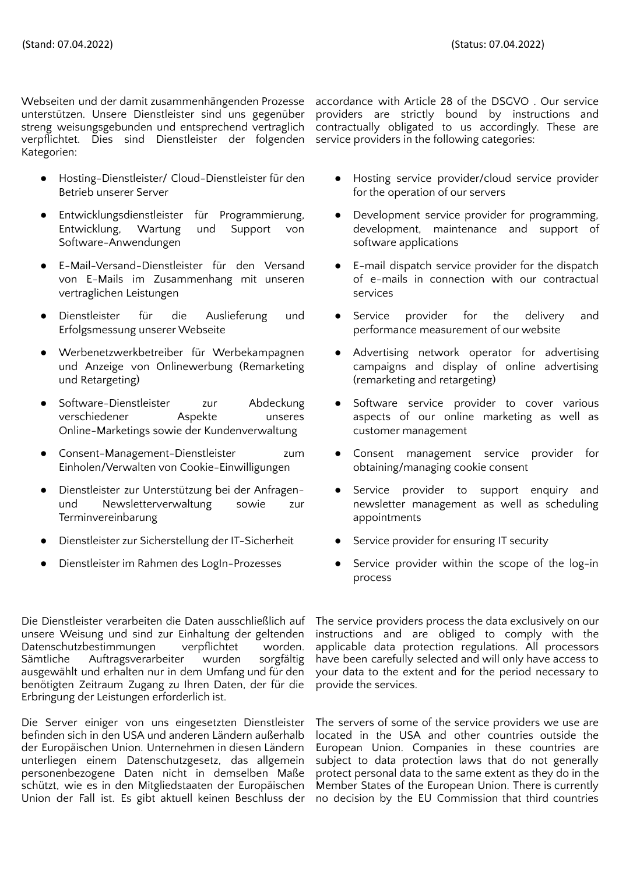Webseiten und der damit zusammenhängenden Prozesse unterstützen. Unsere Dienstleister sind uns gegenüber streng weisungsgebunden und entsprechend vertraglich verpflichtet. Dies sind Dienstleister der folgenden Kategorien:

- Hosting-Dienstleister/ Cloud-Dienstleister für den Betrieb unserer Server
- Entwicklungsdienstleister für Programmierung, Entwicklung, Wartung und Support von Software-Anwendungen
- E-Mail-Versand-Dienstleister für den Versand von E-Mails im Zusammenhang mit unseren vertraglichen Leistungen
- Dienstleister für die Auslieferung und Erfolgsmessung unserer Webseite
- Werbenetzwerkbetreiber für Werbekampagnen und Anzeige von Onlinewerbung (Remarketing und Retargeting)
- Software-Dienstleister zur Abdeckung verschiedener Aspekte unseres Online-Marketings sowie der Kundenverwaltung
- Consent-Management-Dienstleister zum Einholen/Verwalten von Cookie-Einwilligungen
- Dienstleister zur Unterstützung bei der Anfragenund Newsletterverwaltung sowie zur Terminvereinbarung
- Dienstleister zur Sicherstellung der IT-Sicherheit Service provider for ensuring IT security
- 

Die Dienstleister verarbeiten die Daten ausschließlich auf unsere Weisung und sind zur Einhaltung der geltenden Datenschutzbestimmungen verpflichtet worden. Sämtliche Auftragsverarbeiter wurden sorgfältig ausgewählt und erhalten nur in dem Umfang und für den benötigten Zeitraum Zugang zu Ihren Daten, der für die Erbringung der Leistungen erforderlich ist.

Die Server einiger von uns eingesetzten Dienstleister befinden sich in den USA und anderen Ländern außerhalb der Europäischen Union. Unternehmen in diesen Ländern unterliegen einem Datenschutzgesetz, das allgemein personenbezogene Daten nicht in demselben Maße schützt, wie es in den Mitgliedstaaten der Europäischen Union der Fall ist. Es gibt aktuell keinen Beschluss der

accordance with Article 28 of the DSGVO . Our service providers are strictly bound by instructions and contractually obligated to us accordingly. These are service providers in the following categories:

- Hosting service provider/cloud service provider for the operation of our servers
- Development service provider for programming, development, maintenance and support of software applications
- E-mail dispatch service provider for the dispatch of e-mails in connection with our contractual services
- Service provider for the delivery and performance measurement of our website
- Advertising network operator for advertising campaigns and display of online advertising (remarketing and retargeting)
- Software service provider to cover various aspects of our online marketing as well as customer management
- Consent management service provider for obtaining/managing cookie consent
- Service provider to support enquiry and newsletter management as well as scheduling appointments
- 
- Dienstleister im Rahmen des LogIn-Prozesses Service provider within the scope of the log-in process

The service providers process the data exclusively on our instructions and are obliged to comply with the applicable data protection regulations. All processors have been carefully selected and will only have access to your data to the extent and for the period necessary to provide the services.

The servers of some of the service providers we use are located in the USA and other countries outside the European Union. Companies in these countries are subject to data protection laws that do not generally protect personal data to the same extent as they do in the Member States of the European Union. There is currently no decision by the EU Commission that third countries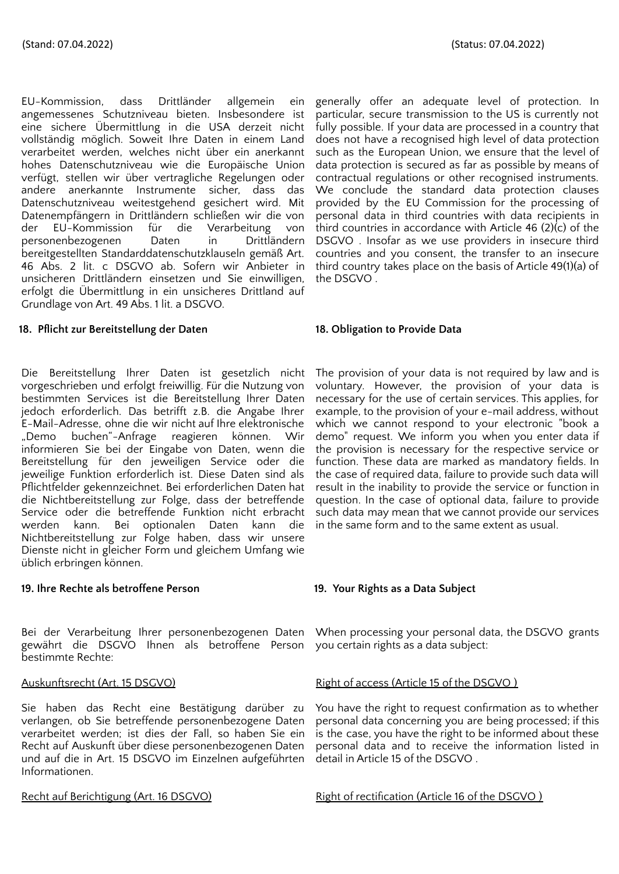EU-Kommission, dass Drittländer allgemein ein angemessenes Schutzniveau bieten. Insbesondere ist eine sichere Übermittlung in die USA derzeit nicht vollständig möglich. Soweit Ihre Daten in einem Land verarbeitet werden, welches nicht über ein anerkannt hohes Datenschutzniveau wie die Europäische Union verfügt, stellen wir über vertragliche Regelungen oder andere anerkannte Instrumente sicher, dass das Datenschutzniveau weitestgehend gesichert wird. Mit Datenempfängern in Drittländern schließen wir die von der EU-Kommission für die Verarbeitung von personenbezogenen Daten in Drittländern bereitgestellten Standarddatenschutzklauseln gemäß Art. 46 Abs. 2 lit. c DSGVO ab. Sofern wir Anbieter in unsicheren Drittländern einsetzen und Sie einwilligen, erfolgt die Übermittlung in ein unsicheres Drittland auf Grundlage von Art. 49 Abs. 1 lit. a DSGVO.

# **18. Pflicht zur Bereitstellung der Daten 18. Obligation to Provide Data**

Die Bereitstellung Ihrer Daten ist gesetzlich nicht vorgeschrieben und erfolgt freiwillig. Für die Nutzung von bestimmten Services ist die Bereitstellung Ihrer Daten jedoch erforderlich. Das betrifft z.B. die Angabe Ihrer E-Mail-Adresse, ohne die wir nicht auf Ihre elektronische "Demo buchen"-Anfrage reagieren können. Wir informieren Sie bei der Eingabe von Daten, wenn die Bereitstellung für den jeweiligen Service oder die jeweilige Funktion erforderlich ist. Diese Daten sind als Pflichtfelder gekennzeichnet. Bei erforderlichen Daten hat die Nichtbereitstellung zur Folge, dass der betreffende Service oder die betreffende Funktion nicht erbracht werden kann. Bei optionalen Daten kann die Nichtbereitstellung zur Folge haben, dass wir unsere Dienste nicht in gleicher Form und gleichem Umfang wie üblich erbringen können.

### **19. Ihre Rechte als betroffene Person 19. Your Rights as a Data Subject**

Bei der Verarbeitung Ihrer personenbezogenen Daten When processing your personal data, the DSGVO grants gewährt die DSGVO Ihnen als betroffene Person you certain rights as a data subject: bestimmte Rechte:

Sie haben das Recht eine Bestätigung darüber zu verlangen, ob Sie betreffende personenbezogene Daten verarbeitet werden; ist dies der Fall, so haben Sie ein Recht auf Auskunft über diese personenbezogenen Daten und auf die in Art. 15 DSGVO im Einzelnen aufgeführten Informationen.

generally offer an adequate level of protection. In particular, secure transmission to the US is currently not fully possible. If your data are processed in a country that does not have a recognised high level of data protection such as the European Union, we ensure that the level of data protection is secured as far as possible by means of contractual regulations or other recognised instruments. We conclude the standard data protection clauses provided by the EU Commission for the processing of personal data in third countries with data recipients in third countries in accordance with Article 46 (2)(c) of the DSGVO . Insofar as we use providers in insecure third countries and you consent, the transfer to an insecure third country takes place on the basis of Article 49(1)(a) of the DSGVO .

The provision of your data is not required by law and is voluntary. However, the provision of your data is necessary for the use of certain services. This applies, for example, to the provision of your e-mail address, without which we cannot respond to your electronic "book a demo" request. We inform you when you enter data if the provision is necessary for the respective service or function. These data are marked as mandatory fields. In the case of required data, failure to provide such data will result in the inability to provide the service or function in question. In the case of optional data, failure to provide such data may mean that we cannot provide our services in the same form and to the same extent as usual.

# Auskunftsrecht (Art. 15 DSGVO) Right of access (Article 15 of the DSGVO )

You have the right to request confirmation as to whether personal data concerning you are being processed; if this is the case, you have the right to be informed about these personal data and to receive the information listed in detail in Article 15 of the DSGVO .

Recht auf Berichtigung (Art. 16 DSGVO) Right of rectification (Article 16 of the DSGVO)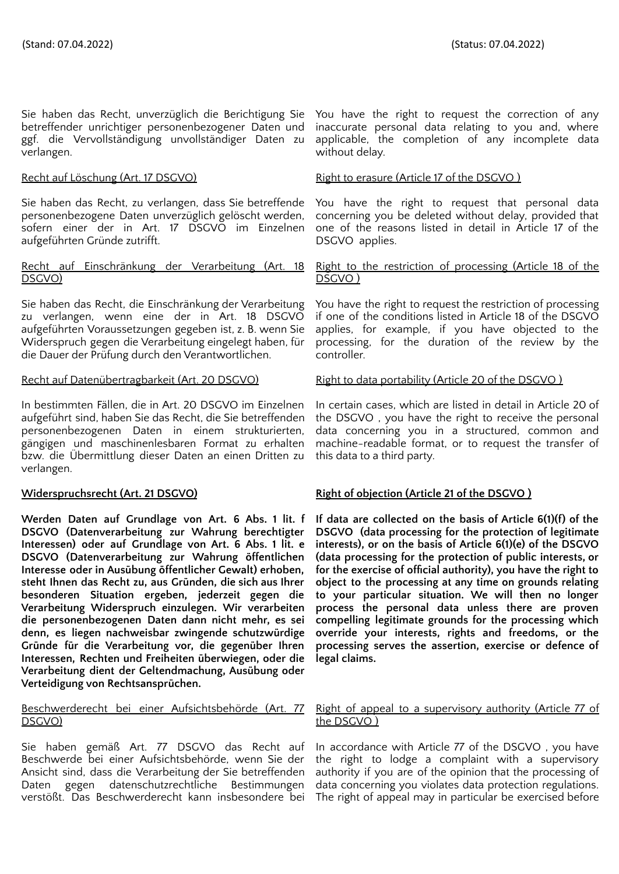Sie haben das Recht, unverzüglich die Berichtigung Sie betreffender unrichtiger personenbezogener Daten und ggf. die Vervollständigung unvollständiger Daten zu verlangen.

Sie haben das Recht, zu verlangen, dass Sie betreffende personenbezogene Daten unverzüglich gelöscht werden, sofern einer der in Art. 17 DSGVO im Einzelnen aufgeführten Gründe zutrifft.

### Recht auf Einschränkung der Verarbeitung (Art. 18 DSGVO)

Sie haben das Recht, die Einschränkung der Verarbeitung zu verlangen, wenn eine der in Art. 18 DSGVO aufgeführten Voraussetzungen gegeben ist, z. B. wenn Sie Widerspruch gegen die Verarbeitung eingelegt haben, für die Dauer der Prüfung durch den Verantwortlichen.

In bestimmten Fällen, die in Art. 20 DSGVO im Einzelnen aufgeführt sind, haben Sie das Recht, die Sie betreffenden personenbezogenen Daten in einem strukturierten, gängigen und maschinenlesbaren Format zu erhalten bzw. die Übermittlung dieser Daten an einen Dritten zu verlangen.

**Werden Daten auf Grundlage von Art. 6 Abs. 1 lit. f DSGVO (Datenverarbeitung zur Wahrung berechtigter Interessen) oder auf Grundlage von Art. 6 Abs. 1 lit. e DSGVO (Datenverarbeitung zur Wahrung öffentlichen Interesse oder in Ausübung öffentlicher Gewalt) erhoben, steht Ihnen das Recht zu, aus Gründen, die sich aus Ihrer besonderen Situation ergeben, jederzeit gegen die Verarbeitung Widerspruch einzulegen. Wir verarbeiten die personenbezogenen Daten dann nicht mehr, es sei denn, es liegen nachweisbar zwingende schutzwürdige Gründe für die Verarbeitung vor, die gegenüber Ihren Interessen, Rechten und Freiheiten überwiegen, oder die Verarbeitung dient der Geltendmachung, Ausübung oder Verteidigung von Rechtsansprüchen.**

# Beschwerderecht bei einer Aufsichtsbehörde (Art. 77 DSGVO)

Sie haben gemäß Art. 77 DSGVO das Recht auf Beschwerde bei einer Aufsichtsbehörde, wenn Sie der Ansicht sind, dass die Verarbeitung der Sie betreffenden Daten gegen datenschutzrechtliche Bestimmungen verstößt. Das Beschwerderecht kann insbesondere bei

You have the right to request the correction of any inaccurate personal data relating to you and, where applicable, the completion of any incomplete data without delay.

### Recht auf Löschung (Art. 17 DSGVO) Right to erasure (Article 17 of the DSGVO)

You have the right to request that personal data concerning you be deleted without delay, provided that one of the reasons listed in detail in Article 17 of the DSGVO applies.

### Right to the restriction of processing (Article 18 of the DSGVO )

You have the right to request the restriction of processing if one of the conditions listed in Article 18 of the DSGVO applies, for example, if you have objected to the processing, for the duration of the review by the controller.

### Recht auf Datenübertragbarkeit (Art. 20 DSGVO) Right to data portability (Article 20 of the DSGVO )

In certain cases, which are listed in detail in Article 20 of the DSGVO , you have the right to receive the personal data concerning you in a structured, common and machine-readable format, or to request the transfer of this data to a third party.

# **Widerspruchsrecht** (Art. 21 DSGVO) **Right** of objection (Article 21 of the DSGVO)

**If data are collected on the basis of Article 6(1)(f) of the DSGVO (data processing for the protection of legitimate interests), or on the basis of Article 6(1)(e) of the DSGVO (data processing for the protection of public interests, or for the exercise of official authority), you have the right to object to the processing at any time on grounds relating to your particular situation. We will then no longer process the personal data unless there are proven compelling legitimate grounds for the processing which override your interests, rights and freedoms, or the processing serves the assertion, exercise or defence of legal claims.**

### Right of appeal to a supervisory authority (Article 77 of the DSGVO )

In accordance with Article 77 of the DSGVO , you have the right to lodge a complaint with a supervisory authority if you are of the opinion that the processing of data concerning you violates data protection regulations. The right of appeal may in particular be exercised before